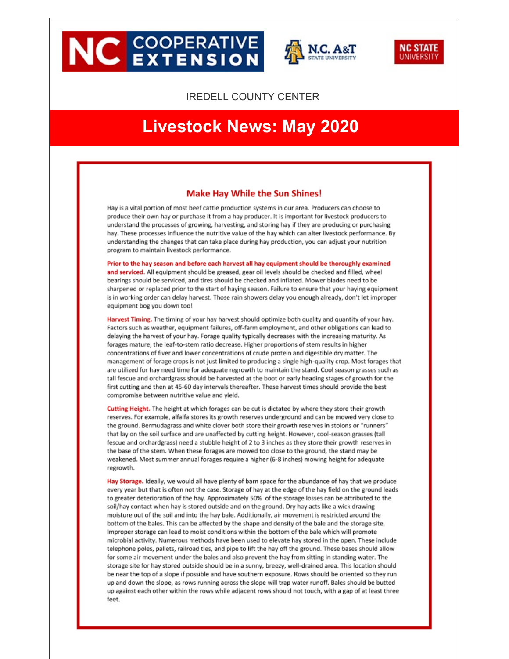# **NC EXTENSION**





#### **IREDELL COUNTY CENTER**

## **Livestock News: May 2020**

#### **Make Hay While the Sun Shines!**

Hay is a vital portion of most beef cattle production systems in our area. Producers can choose to produce their own hay or purchase it from a hay producer. It is important for livestock producers to understand the processes of growing, harvesting, and storing hay if they are producing or purchasing hay. These processes influence the nutritive value of the hay which can alter livestock performance. By understanding the changes that can take place during hay production, you can adjust your nutrition program to maintain livestock performance.

Prior to the hay season and before each harvest all hay equipment should be thoroughly examined and serviced. All equipment should be greased, gear oil levels should be checked and filled, wheel bearings should be serviced, and tires should be checked and inflated. Mower blades need to be sharpened or replaced prior to the start of haying season. Failure to ensure that your haying equipment is in working order can delay harvest. Those rain showers delay you enough already, don't let improper equipment bog you down too!

Harvest Timing. The timing of your hay harvest should optimize both quality and quantity of your hay. Factors such as weather, equipment failures, off-farm employment, and other obligations can lead to delaying the harvest of your hay. Forage quality typically decreases with the increasing maturity. As forages mature, the leaf-to-stem ratio decrease. Higher proportions of stem results in higher concentrations of fiver and lower concentrations of crude protein and digestible dry matter. The management of forage crops is not just limited to producing a single high-quality crop. Most forages that are utilized for hay need time for adequate regrowth to maintain the stand. Cool season grasses such as tall fescue and orchardgrass should be harvested at the boot or early heading stages of growth for the first cutting and then at 45-60 day intervals thereafter. These harvest times should provide the best compromise between nutritive value and yield.

Cutting Height. The height at which forages can be cut is dictated by where they store their growth reserves. For example, alfalfa stores its growth reserves underground and can be mowed very close to the ground. Bermudagrass and white clover both store their growth reserves in stolons or "runners" that lay on the soil surface and are unaffected by cutting height. However, cool-season grasses (tall fescue and orchardgrass) need a stubble height of 2 to 3 inches as they store their growth reserves in the base of the stem. When these forages are mowed too close to the ground, the stand may be weakened. Most summer annual forages require a higher (6-8 inches) mowing height for adequate regrowth.

Hay Storage. Ideally, we would all have plenty of barn space for the abundance of hay that we produce every year but that is often not the case. Storage of hay at the edge of the hay field on the ground leads to greater deterioration of the hay. Approximately 50% of the storage losses can be attributed to the soil/hay contact when hay is stored outside and on the ground. Dry hay acts like a wick drawing moisture out of the soil and into the hay bale. Additionally, air movement is restricted around the bottom of the bales. This can be affected by the shape and density of the bale and the storage site. Improper storage can lead to moist conditions within the bottom of the bale which will promote microbial activity. Numerous methods have been used to elevate hay stored in the open. These include telephone poles, pallets, railroad ties, and pipe to lift the hay off the ground. These bases should allow for some air movement under the bales and also prevent the hay from sitting in standing water. The storage site for hay stored outside should be in a sunny, breezy, well-drained area. This location should be near the top of a slope if possible and have southern exposure. Rows should be oriented so they run up and down the slope, as rows running across the slope will trap water runoff. Bales should be butted up against each other within the rows while adjacent rows should not touch, with a gap of at least three feet.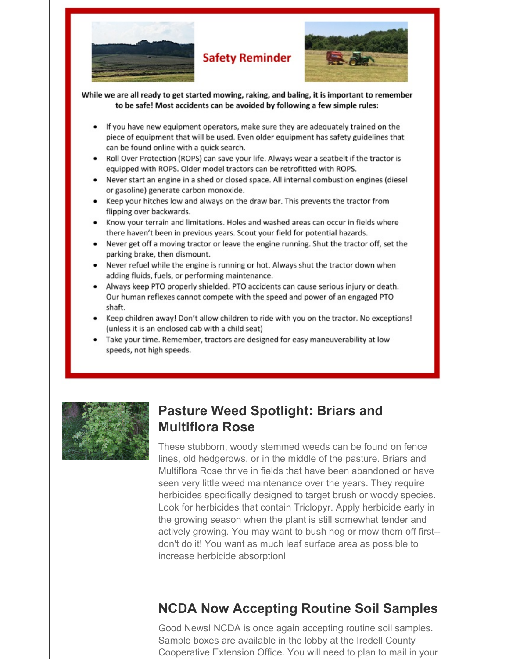

### **Safety Reminder**



While we are all ready to get started mowing, raking, and baling, it is important to remember to be safe! Most accidents can be avoided by following a few simple rules:

- If you have new equipment operators, make sure they are adequately trained on the piece of equipment that will be used. Even older equipment has safety guidelines that can be found online with a quick search.
- Roll Over Protection (ROPS) can save your life. Always wear a seatbelt if the tractor is equipped with ROPS. Older model tractors can be retrofitted with ROPS.
- Never start an engine in a shed or closed space. All internal combustion engines (diesel or gasoline) generate carbon monoxide.
- Keep your hitches low and always on the draw bar. This prevents the tractor from flipping over backwards.
- Know your terrain and limitations. Holes and washed areas can occur in fields where there haven't been in previous years. Scout your field for potential hazards.
- Never get off a moving tractor or leave the engine running. Shut the tractor off, set the parking brake, then dismount.
- Never refuel while the engine is running or hot. Always shut the tractor down when adding fluids, fuels, or performing maintenance.
- Always keep PTO properly shielded. PTO accidents can cause serious injury or death. Our human reflexes cannot compete with the speed and power of an engaged PTO shaft.
- Keep children away! Don't allow children to ride with you on the tractor. No exceptions! (unless it is an enclosed cab with a child seat)
- Take your time. Remember, tractors are designed for easy maneuverability at low speeds, not high speeds.



## **Pasture Weed Spotlight: Briars and Multiflora Rose**

These stubborn, woody stemmed weeds can be found on fence lines, old hedgerows, or in the middle of the pasture. Briars and Multiflora Rose thrive in fields that have been abandoned or have seen very little weed maintenance over the years. They require herbicides specifically designed to target brush or woody species. Look for herbicides that contain Triclopyr. Apply herbicide early in the growing season when the plant is still somewhat tender and actively growing. You may want to bush hog or mow them off first- don't do it! You want as much leaf surface area as possible to increase herbicide absorption!

## **NCDA Now Accepting Routine Soil Samples**

Good News! NCDA is once again accepting routine soil samples. Sample boxes are available in the lobby at the Iredell County Cooperative Extension Office. You will need to plan to mail in your